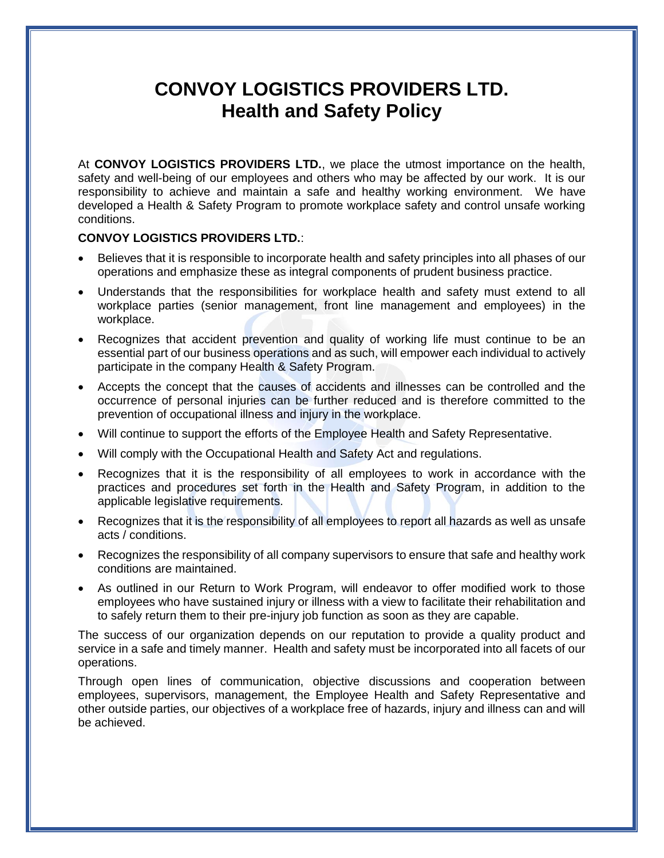## **CONVOY LOGISTICS PROVIDERS LTD. Health and Safety Policy**

At **CONVOY LOGISTICS PROVIDERS LTD.**, we place the utmost importance on the health, safety and well-being of our employees and others who may be affected by our work. It is our responsibility to achieve and maintain a safe and healthy working environment. We have developed a Health & Safety Program to promote workplace safety and control unsafe working conditions.

## **CONVOY LOGISTICS PROVIDERS LTD.**:

- Believes that it is responsible to incorporate health and safety principles into all phases of our operations and emphasize these as integral components of prudent business practice.
- Understands that the responsibilities for workplace health and safety must extend to all workplace parties (senior management, front line management and employees) in the workplace.
- Recognizes that accident prevention and quality of working life must continue to be an essential part of our business operations and as such, will empower each individual to actively participate in the company Health & Safety Program.
- Accepts the concept that the causes of accidents and illnesses can be controlled and the occurrence of personal injuries can be further reduced and is therefore committed to the prevention of occupational illness and injury in the workplace.
- Will continue to support the efforts of the Employee Health and Safety Representative.
- Will comply with the Occupational Health and Safety Act and regulations.
- Recognizes that it is the responsibility of all employees to work in accordance with the practices and procedures set forth in the Health and Safety Program, in addition to the applicable legislative requirements.
- Recognizes that it is the responsibility of all employees to report all hazards as well as unsafe acts / conditions.
- Recognizes the responsibility of all company supervisors to ensure that safe and healthy work conditions are maintained.
- As outlined in our Return to Work Program, will endeavor to offer modified work to those employees who have sustained injury or illness with a view to facilitate their rehabilitation and to safely return them to their pre-injury job function as soon as they are capable.

The success of our organization depends on our reputation to provide a quality product and service in a safe and timely manner. Health and safety must be incorporated into all facets of our operations.

Through open lines of communication, objective discussions and cooperation between employees, supervisors, management, the Employee Health and Safety Representative and other outside parties, our objectives of a workplace free of hazards, injury and illness can and will be achieved.